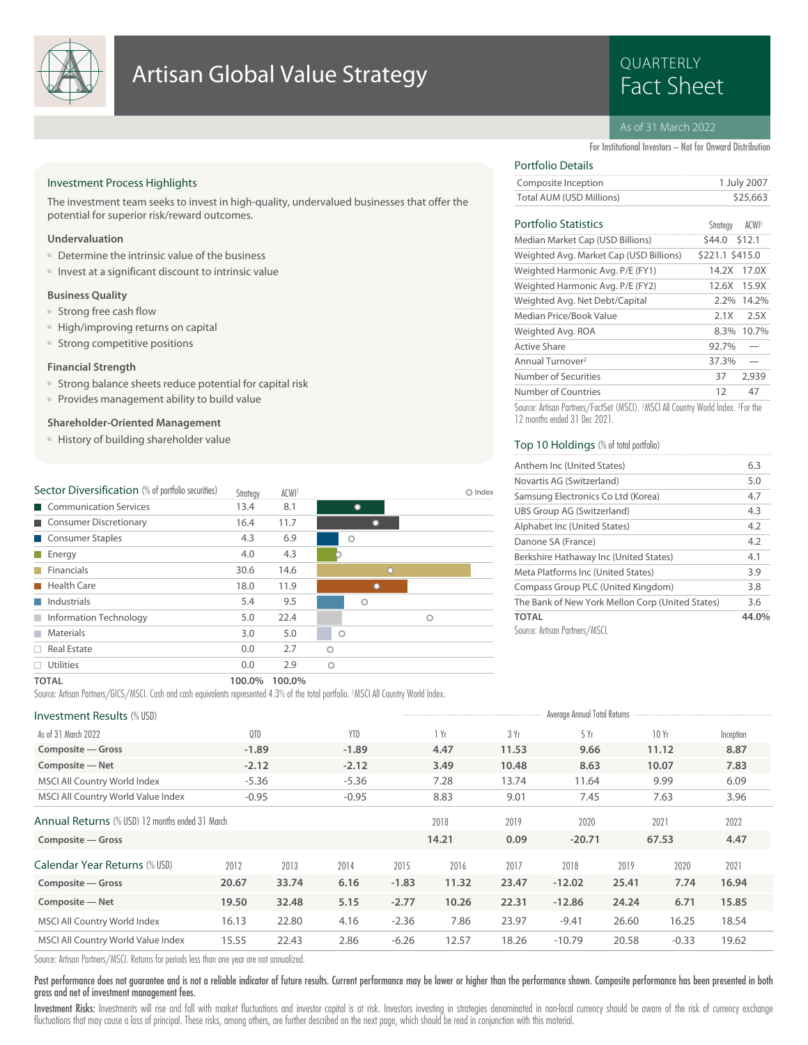

## **Artisan Global Value Strategy Example 2018 Research Artisan Global Value Strategy**

# QUARTERLY

#### As of 31 March 2022

For Institutional Investors – Not for Onward Distribution

 $C_{bathom}$   $\Lambda$   $C[\overline{M}]]$ 

#### Investment Process Highlights

The investment team seeks to invest in high-quality, undervalued businesses that offer the potential for superior risk/reward outcomes.

#### **Undervaluation**

- Determine the intrinsic value of the business
- Invest at a significant discount to intrinsic value

#### **Business Quality**

- Strong free cash flow
- High/improving returns on capital
- Strong competitive positions

#### **Financial Strength**

- Strong balance sheets reduce potential for capital risk
- Provides management ability to build value

#### **Shareholder-Oriented Management**

■ History of building shareholder value

| Sector Diversification (% of portfolio securities) | Strateav | ACWI <sup>1</sup> |         | Index |
|----------------------------------------------------|----------|-------------------|---------|-------|
| Communication Services                             | 13.4     | 8.1               |         |       |
| Consumer Discretionary                             | 16.4     | 11.7              |         |       |
| Consumer Staples                                   | 4.3      | 6.9               | Ω       |       |
| $\blacksquare$ Energy                              | 4.0      | 4.3               |         |       |
| Financials                                         | 30.6     | 14.6              | $\cap$  |       |
| <b>Health Care</b>                                 | 18.0     | 11.9              |         |       |
| Industrials                                        | 5.4      | 9.5               | Ο       |       |
| Information Technology                             | 5.0      | 22.4              | Ω       |       |
| Materials<br><b>Tall</b>                           | 3.0      | 5.0               | $\circ$ |       |
| $\Box$ Real Estate                                 | 0.0      | 2.7               | Ω       |       |
| Utilities                                          | 0.0      | 2.9               | $\circ$ |       |
|                                                    |          |                   |         |       |

### Portfolio Details

| Composite Inception      | 1 July 2007 |
|--------------------------|-------------|
| Total AUM (USD Millions) | \$25,663    |
|                          |             |

#### Portfolio Statistics ACWI<sup>1</sup>

| FULLIULIU JIAIISIIUS                    | <b>DELICT</b>   | <b>ALWI</b> |
|-----------------------------------------|-----------------|-------------|
| Median Market Cap (USD Billions)        | \$44.0 \$12.1   |             |
| Weighted Avg. Market Cap (USD Billions) | \$221.1 \$415.0 |             |
| Weighted Harmonic Avg. P/E (FY1)        | 14.2X 17.0X     |             |
| Weighted Harmonic Avg. P/E (FY2)        | 12.6X           | 15.9X       |
| Weighted Avg. Net Debt/Capital          |                 | 2.2% 14.2%  |
| Median Price/Book Value                 | 2.1X            | 2.5X        |
| Weighted Avg. ROA                       | 8.3%            | 10.7%       |
| <b>Active Share</b>                     | 92.7%           |             |
| Annual Turnover <sup>2</sup>            | 37.3%           |             |
| Number of Securities                    | 37              | 2,939       |
| Number of Countries                     | 12              | 47          |
|                                         |                 |             |

Source: Artisan Partners/FactSet (MSCI). <sup>1</sup>MSCI All Country World Index. <sup>2</sup> For the 12 months ended 31 Dec 2021.

#### Top 10 Holdings (% of total portfolio)

| Anthem Inc (United States)                       | 6.3   |
|--------------------------------------------------|-------|
| Novartis AG (Switzerland)                        | 5.0   |
| Samsung Electronics Co Ltd (Korea)               | 4.7   |
| UBS Group AG (Switzerland)                       | 4.3   |
| Alphabet Inc (United States)                     | 4.2   |
| Danone SA (France)                               | 4.2   |
| Berkshire Hathaway Inc (United States)           | 4.1   |
| Meta Platforms Inc (United States)               | 3.9   |
| Compass Group PLC (United Kingdom)               | 3.8   |
| The Bank of New York Mellon Corp (United States) | 3.6   |
| <b>TOTAL</b>                                     | 44.0% |
| Source: Artisan Partners/MSCL                    |       |

#### **TOTAL 100.0% 100.0%**

Source: Artisan Partners/GICS/MSCI. Cash and cash equivalents represented 4.3% of the total portfolio. <sup>1</sup>MSCI All Country World Index.

#### Investment Results (% USD) Average Annual Total Returns and Total Returns and Total Returns and Total Returns of the Annual Total Returns and Total Returns and Total Returns and Total Returns and Total Returns and Total Re

| <b>INVESUMENT RESULTS (70 USD)</b>                     |         |       |            |         |       |       | Landard Ultimore Total Indiana |       |         |           |  |
|--------------------------------------------------------|---------|-------|------------|---------|-------|-------|--------------------------------|-------|---------|-----------|--|
| As of 31 March 2022                                    | QTD     |       | <b>YTD</b> |         | l Yr  | 3 Yr  | 5 Yr                           |       | 10Yr    | Inception |  |
| Composite - Gross                                      | $-1.89$ |       | $-1.89$    |         | 4.47  | 11.53 | 9.66                           |       | 11.12   | 8.87      |  |
| Composite - Net                                        | $-2.12$ |       | $-2.12$    |         | 3.49  | 10.48 | 8.63                           |       | 10.07   | 7.83      |  |
| MSCI All Country World Index                           | $-5.36$ |       | $-5.36$    |         | 7.28  | 13.74 | 11.64                          |       | 9.99    | 6.09      |  |
| MSCI All Country World Value Index                     | $-0.95$ |       | $-0.95$    |         | 8.83  | 9.01  | 7.45                           |       | 7.63    | 3.96      |  |
| <b>Annual Returns</b> (% USD) 12 months ended 31 March |         |       |            |         | 2018  | 2019  | 2020                           |       | 2021    | 2022      |  |
| Composite - Gross                                      |         |       |            |         | 14.21 | 0.09  | $-20.71$                       |       | 67.53   | 4.47      |  |
| Calendar Year Returns (% USD)                          | 2012    | 2013  | 2014       | 2015    | 2016  | 2017  | 2018                           | 2019  | 2020    | 2021      |  |
| Composite - Gross                                      | 20.67   | 33.74 | 6.16       | $-1.83$ | 11.32 | 23.47 | $-12.02$                       | 25.41 | 7.74    | 16.94     |  |
| Composite - Net                                        | 19.50   | 32.48 | 5.15       | $-2.77$ | 10.26 | 22.31 | $-12.86$                       | 24.24 | 6.71    | 15.85     |  |
| MSCI All Country World Index                           | 16.13   | 22.80 | 4.16       | $-2.36$ | 7.86  | 23.97 | $-9.41$                        | 26.60 | 16.25   | 18.54     |  |
| MSCI All Country World Value Index                     | 15.55   | 22.43 | 2.86       | $-6.26$ | 12.57 | 18.26 | $-10.79$                       | 20.58 | $-0.33$ | 19.62     |  |
|                                                        |         |       |            |         |       |       |                                |       |         |           |  |

Source: Artisan Partners/MSCI. Returns for periods less than one year are not annualized.

Past performance does not guarantee and is not a reliable indicator of future results. Current performance may be lower or higher than the performance shown. Composite performance has been presented in both gross and net of investment management fees.

Investment Risks: Investments will rise and fall with market fluctuations and investor capital is at risk. Investors investing in strategies denominated in non-local currency should be aware of the risk of currency exchang fluctuations that may cause a loss of principal. These risks, among others, are further described on the next page, which should be read in conjunction with this material.